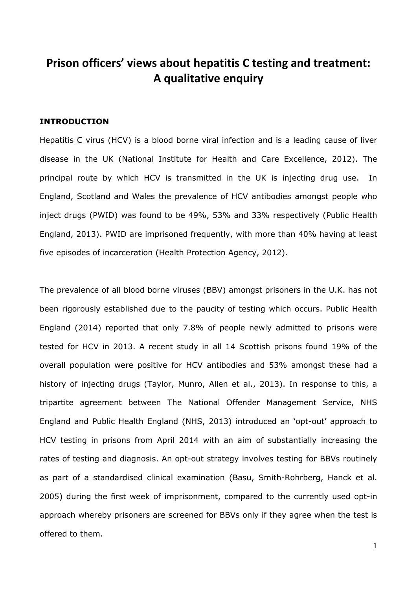# **Prison officers' views about hepatitis C testing and treatment: A qualitative enquiry**

## **INTRODUCTION**

Hepatitis C virus (HCV) is a blood borne viral infection and is a leading cause of liver disease in the UK (National Institute for Health and Care Excellence, 2012). The principal route by which HCV is transmitted in the UK is injecting drug use. In England, Scotland and Wales the prevalence of HCV antibodies amongst people who inject drugs (PWID) was found to be 49%, 53% and 33% respectively (Public Health England, 2013). PWID are imprisoned frequently, with more than 40% having at least five episodes of incarceration (Health Protection Agency, 2012).

The prevalence of all blood borne viruses (BBV) amongst prisoners in the U.K. has not been rigorously established due to the paucity of testing which occurs. Public Health England (2014) reported that only 7.8% of people newly admitted to prisons were tested for HCV in 2013. A recent study in all 14 Scottish prisons found 19% of the overall population were positive for HCV antibodies and 53% amongst these had a history of injecting drugs (Taylor, Munro, Allen et al., 2013). In response to this, a tripartite agreement between The National Offender Management Service, NHS England and Public Health England (NHS, 2013) introduced an 'opt-out' approach to HCV testing in prisons from April 2014 with an aim of substantially increasing the rates of testing and diagnosis. An opt-out strategy involves testing for BBVs routinely as part of a standardised clinical examination (Basu, Smith-Rohrberg, Hanck et al. 2005) during the first week of imprisonment, compared to the currently used opt-in approach whereby prisoners are screened for BBVs only if they agree when the test is offered to them.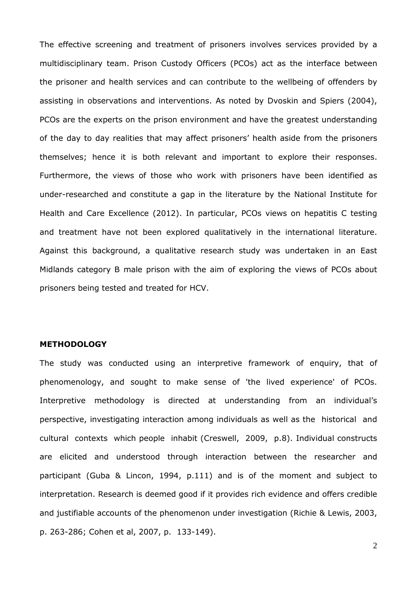The effective screening and treatment of prisoners involves services provided by a multidisciplinary team. Prison Custody Officers (PCOs) act as the interface between the prisoner and health services and can contribute to the wellbeing of offenders by assisting in observations and interventions. As noted by Dvoskin and Spiers (2004), PCOs are the experts on the prison environment and have the greatest understanding of the day to day realities that may affect prisoners' health aside from the prisoners themselves; hence it is both relevant and important to explore their responses. Furthermore, the views of those who work with prisoners have been identified as under-researched and constitute a gap in the literature by the National Institute for Health and Care Excellence (2012). In particular, PCOs views on hepatitis C testing and treatment have not been explored qualitatively in the international literature. Against this background, a qualitative research study was undertaken in an East Midlands category B male prison with the aim of exploring the views of PCOs about prisoners being tested and treated for HCV.

#### **METHODOLOGY**

The study was conducted using an interpretive framework of enquiry, that of phenomenology, and sought to make sense of 'the lived experience' of PCOs. Interpretive methodology is directed at understanding from an individual's perspective, investigating interaction among individuals as well as the historical and cultural contexts which people inhabit (Creswell, 2009, p.8). Individual constructs are elicited and understood through interaction between the researcher and participant (Guba & Lincon, 1994, p.111) and is of the moment and subject to interpretation. Research is deemed good if it provides rich evidence and offers credible and justifiable accounts of the phenomenon under investigation (Richie & Lewis, 2003, p. 263-286; Cohen et al, 2007, p. 133-149).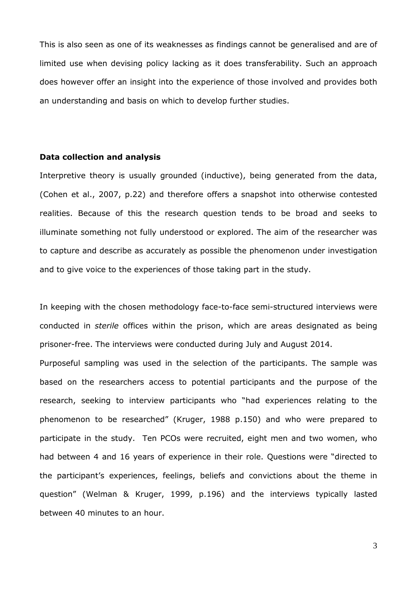This is also seen as one of its weaknesses as findings cannot be generalised and are of limited use when devising policy lacking as it does transferability. Such an approach does however offer an insight into the experience of those involved and provides both an understanding and basis on which to develop further studies.

## **Data collection and analysis**

Interpretive theory is usually grounded (inductive), being generated from the data, (Cohen et al., 2007, p.22) and therefore offers a snapshot into otherwise contested realities. Because of this the research question tends to be broad and seeks to illuminate something not fully understood or explored. The aim of the researcher was to capture and describe as accurately as possible the phenomenon under investigation and to give voice to the experiences of those taking part in the study.

In keeping with the chosen methodology face-to-face semi-structured interviews were conducted in *sterile* offices within the prison, which are areas designated as being prisoner-free. The interviews were conducted during July and August 2014.

Purposeful sampling was used in the selection of the participants. The sample was based on the researchers access to potential participants and the purpose of the research, seeking to interview participants who "had experiences relating to the phenomenon to be researched" (Kruger, 1988 p.150) and who were prepared to participate in the study. Ten PCOs were recruited, eight men and two women, who had between 4 and 16 years of experience in their role. Questions were "directed to the participant's experiences, feelings, beliefs and convictions about the theme in question" (Welman & Kruger, 1999, p.196) and the interviews typically lasted between 40 minutes to an hour.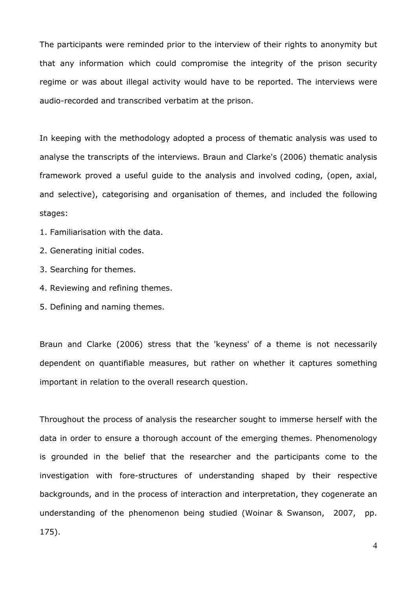The participants were reminded prior to the interview of their rights to anonymity but that any information which could compromise the integrity of the prison security regime or was about illegal activity would have to be reported. The interviews were audio-recorded and transcribed verbatim at the prison.

In keeping with the methodology adopted a process of thematic analysis was used to analyse the transcripts of the interviews. Braun and Clarke's (2006) thematic analysis framework proved a useful guide to the analysis and involved coding, (open, axial, and selective), categorising and organisation of themes, and included the following stages:

1. Familiarisation with the data.

- 2. Generating initial codes.
- 3. Searching for themes.
- 4. Reviewing and refining themes.
- 5. Defining and naming themes.

Braun and Clarke (2006) stress that the 'keyness' of a theme is not necessarily dependent on quantifiable measures, but rather on whether it captures something important in relation to the overall research question.

Throughout the process of analysis the researcher sought to immerse herself with the data in order to ensure a thorough account of the emerging themes. Phenomenology is grounded in the belief that the researcher and the participants come to the investigation with fore-structures of understanding shaped by their respective backgrounds, and in the process of interaction and interpretation, they cogenerate an understanding of the phenomenon being studied (Woinar & Swanson, 2007, pp. 175).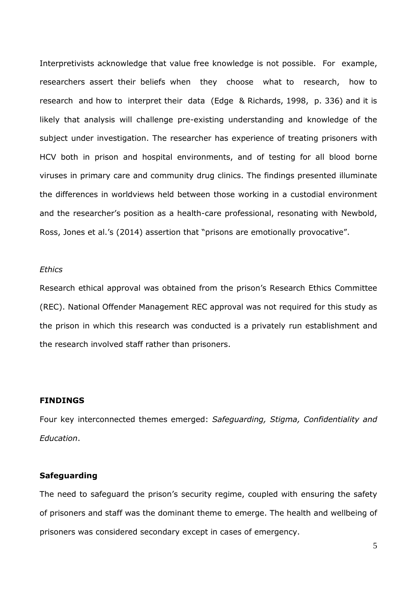Interpretivists acknowledge that value free knowledge is not possible. For example, researchers assert their beliefs when they choose what to research, how to research and how to interpret their data (Edge & Richards, 1998, p. 336) and it is likely that analysis will challenge pre-existing understanding and knowledge of the subject under investigation. The researcher has experience of treating prisoners with HCV both in prison and hospital environments, and of testing for all blood borne viruses in primary care and community drug clinics. The findings presented illuminate the differences in worldviews held between those working in a custodial environment and the researcher's position as a health-care professional, resonating with Newbold, Ross, Jones et al.'s (2014) assertion that "prisons are emotionally provocative".

#### *Ethics*

Research ethical approval was obtained from the prison's Research Ethics Committee (REC). National Offender Management REC approval was not required for this study as the prison in which this research was conducted is a privately run establishment and the research involved staff rather than prisoners.

#### **FINDINGS**

Four key interconnected themes emerged: *Safeguarding, Stigma, Confidentiality and Education*.

#### **Safeguarding**

The need to safeguard the prison's security regime, coupled with ensuring the safety of prisoners and staff was the dominant theme to emerge. The health and wellbeing of prisoners was considered secondary except in cases of emergency.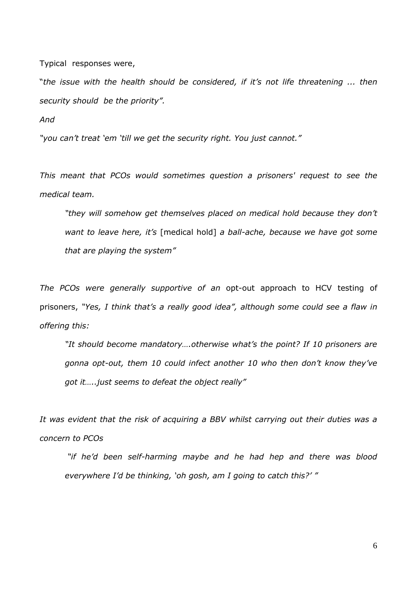Typical responses were,

"*the issue with the health should be considered, if it's not life threatening ... then security should be the priority".*

*And*

*"you can't treat 'em 'till we get the security right. You just cannot."*

*This meant that PCOs would sometimes question a prisoners' request to see the medical team.*

*"they will somehow get themselves placed on medical hold because they don't want to leave here, it's* [medical hold] *a ball-ache, because we have got some that are playing the system"*

*The PCOs were generally supportive of an* opt-out approach to HCV testing of prisoners, *"Yes, I think that's a really good idea", although some could see a flaw in offering this:*

*"It should become mandatory….otherwise what's the point? If 10 prisoners are gonna opt-out, them 10 could infect another 10 who then don't know they've got it…..just seems to defeat the object really"*

*It was evident that the risk of acquiring a BBV whilst carrying out their duties was a concern to PCOs*

*"if he'd been self-harming maybe and he had hep and there was blood everywhere I'd be thinking, 'oh gosh, am I going to catch this?' "*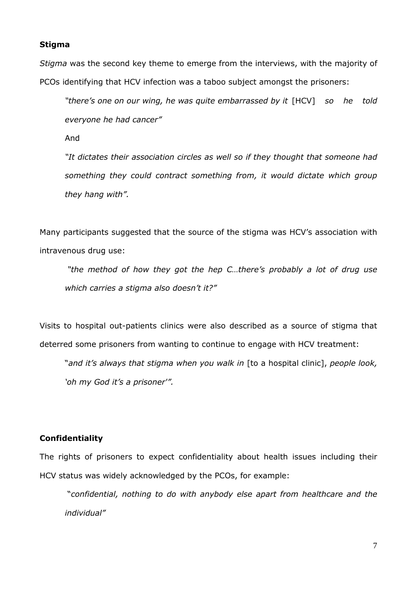#### **Stigma**

*Stigma* was the second key theme to emerge from the interviews, with the majority of PCOs identifying that HCV infection was a taboo subject amongst the prisoners:

*"there's one on our wing, he was quite embarrassed by it* [HCV] *so he told everyone he had cancer"*

And

*"It dictates their association circles as well so if they thought that someone had something they could contract something from, it would dictate which group they hang with".*

Many participants suggested that the source of the stigma was HCV's association with intravenous drug use:

*"the method of how they got the hep C…there's probably a lot of drug use which carries a stigma also doesn't it?"*

Visits to hospital out-patients clinics were also described as a source of stigma that deterred some prisoners from wanting to continue to engage with HCV treatment:

"*and it's always that stigma when you walk in* [to a hospital clinic], *people look, 'oh my God it's a prisoner'".*

# **Confidentiality**

The rights of prisoners to expect confidentiality about health issues including their HCV status was widely acknowledged by the PCOs, for example:

"*confidential, nothing to do with anybody else apart from healthcare and the individual"*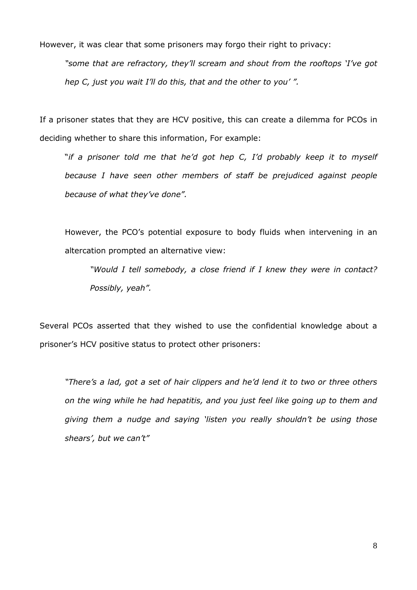However, it was clear that some prisoners may forgo their right to privacy:

*"some that are refractory, they'll scream and shout from the rooftops 'I've got hep C, just you wait I'll do this, that and the other to you' ".*

If a prisoner states that they are HCV positive, this can create a dilemma for PCOs in deciding whether to share this information, For example:

"*if a prisoner told me that he'd got hep C, I'd probably keep it to myself because I have seen other members of staff be prejudiced against people because of what they've done".*

However, the PCO's potential exposure to body fluids when intervening in an altercation prompted an alternative view:

*"Would I tell somebody, a close friend if I knew they were in contact? Possibly, yeah".*

Several PCOs asserted that they wished to use the confidential knowledge about a prisoner's HCV positive status to protect other prisoners:

*"There's a lad, got a set of hair clippers and he'd lend it to two or three others on the wing while he had hepatitis, and you just feel like going up to them and giving them a nudge and saying 'listen you really shouldn't be using those shears', but we can't"*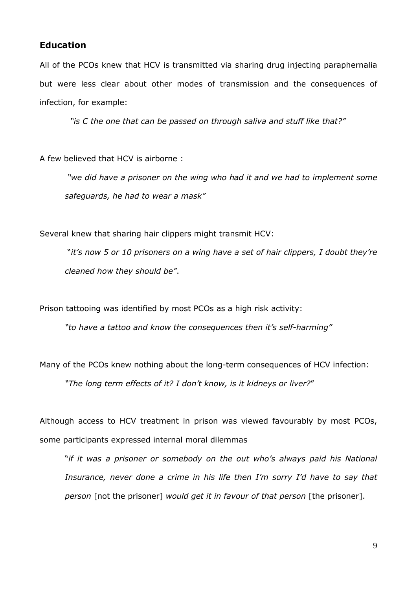## **Education**

All of the PCOs knew that HCV is transmitted via sharing drug injecting paraphernalia but were less clear about other modes of transmission and the consequences of infection, for example:

*"is C the one that can be passed on through saliva and stuff like that?"*

A few believed that HCV is airborne :

*"we did have a prisoner on the wing who had it and we had to implement some safeguards, he had to wear a mask"*

Several knew that sharing hair clippers might transmit HCV:

"*it's now 5 or 10 prisoners on a wing have a set of hair clippers, I doubt they're cleaned how they should be"*.

Prison tattooing was identified by most PCOs as a high risk activity:

*"to have a tattoo and know the consequences then it's self-harming"*

Many of the PCOs knew nothing about the long-term consequences of HCV infection: *"The long term effects of it? I don't know, is it kidneys or liver?*"

Although access to HCV treatment in prison was viewed favourably by most PCOs, some participants expressed internal moral dilemmas

"*if it was a prisoner or somebody on the out who's always paid his National Insurance, never done a crime in his life then I'm sorry I'd have to say that person* [not the prisoner] *would get it in favour of that person* [the prisoner].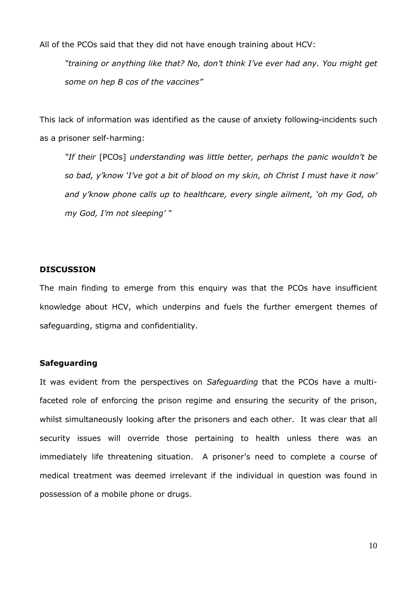All of the PCOs said that they did not have enough training about HCV:

*"training or anything like that? No, don't think I've ever had any. You might get some on hep B cos of the vaccines"*

This lack of information was identified as the cause of anxiety following-incidents such as a prisoner self-harming:

*"If their* [PCOs] *understanding was little better, perhaps the panic wouldn't be so bad, y'know 'I've got a bit of blood on my skin, oh Christ I must have it now' and y'know phone calls up to healthcare, every single ailment, 'oh my God, oh my God, I'm not sleeping' "*

#### **DISCUSSION**

The main finding to emerge from this enquiry was that the PCOs have insufficient knowledge about HCV, which underpins and fuels the further emergent themes of safeguarding, stigma and confidentiality.

## **Safeguarding**

It was evident from the perspectives on *Safeguarding* that the PCOs have a multifaceted role of enforcing the prison regime and ensuring the security of the prison, whilst simultaneously looking after the prisoners and each other. It was clear that all security issues will override those pertaining to health unless there was an immediately life threatening situation. A prisoner's need to complete a course of medical treatment was deemed irrelevant if the individual in question was found in possession of a mobile phone or drugs.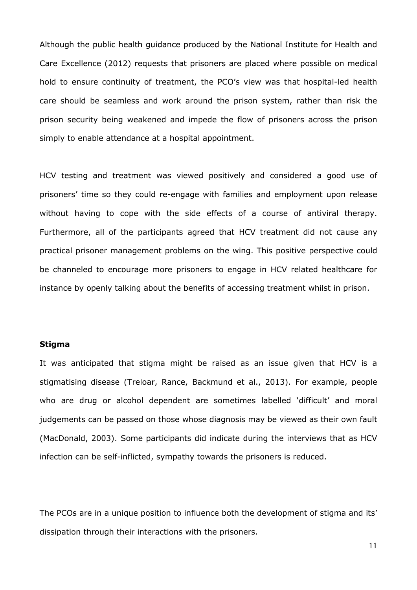Although the public health guidance produced by the National Institute for Health and Care Excellence (2012) requests that prisoners are placed where possible on medical hold to ensure continuity of treatment, the PCO's view was that hospital-led health care should be seamless and work around the prison system, rather than risk the prison security being weakened and impede the flow of prisoners across the prison simply to enable attendance at a hospital appointment.

HCV testing and treatment was viewed positively and considered a good use of prisoners' time so they could re-engage with families and employment upon release without having to cope with the side effects of a course of antiviral therapy. Furthermore, all of the participants agreed that HCV treatment did not cause any practical prisoner management problems on the wing. This positive perspective could be channeled to encourage more prisoners to engage in HCV related healthcare for instance by openly talking about the benefits of accessing treatment whilst in prison.

## **Stigma**

It was anticipated that stigma might be raised as an issue given that HCV is a stigmatising disease (Treloar, Rance, Backmund et al., 2013). For example, people who are drug or alcohol dependent are sometimes labelled 'difficult' and moral judgements can be passed on those whose diagnosis may be viewed as their own fault (MacDonald, 2003). Some participants did indicate during the interviews that as HCV infection can be self-inflicted, sympathy towards the prisoners is reduced.

The PCOs are in a unique position to influence both the development of stigma and its' dissipation through their interactions with the prisoners.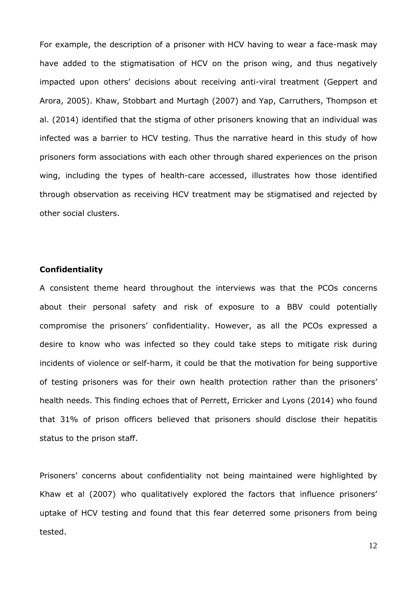For example, the description of a prisoner with HCV having to wear a face-mask may have added to the stigmatisation of HCV on the prison wing, and thus negatively impacted upon others' decisions about receiving anti-viral treatment (Geppert and Arora, 2005). Khaw, Stobbart and Murtagh (2007) and Yap, Carruthers, Thompson et al. (2014) identified that the stigma of other prisoners knowing that an individual was infected was a barrier to HCV testing. Thus the narrative heard in this study of how prisoners form associations with each other through shared experiences on the prison wing, including the types of health-care accessed, illustrates how those identified through observation as receiving HCV treatment may be stigmatised and rejected by other social clusters.

## **Confidentiality**

A consistent theme heard throughout the interviews was that the PCOs concerns about their personal safety and risk of exposure to a BBV could potentially compromise the prisoners' confidentiality. However, as all the PCOs expressed a desire to know who was infected so they could take steps to mitigate risk during incidents of violence or self-harm, it could be that the motivation for being supportive of testing prisoners was for their own health protection rather than the prisoners' health needs. This finding echoes that of Perrett, Erricker and Lyons (2014) who found that 31% of prison officers believed that prisoners should disclose their hepatitis status to the prison staff.

Prisoners' concerns about confidentiality not being maintained were highlighted by Khaw et al (2007) who qualitatively explored the factors that influence prisoners' uptake of HCV testing and found that this fear deterred some prisoners from being tested.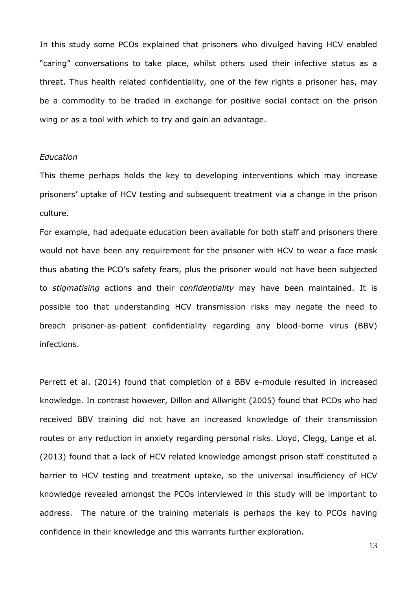In this study some PCOs explained that prisoners who divulged having HCV enabled "caring" conversations to take place, whilst others used their infective status as a threat. Thus health related confidentiality, one of the few rights a prisoner has, may be a commodity to be traded in exchange for positive social contact on the prison wing or as a tool with which to try and gain an advantage.

#### *Education*

This theme perhaps holds the key to developing interventions which may increase prisoners' uptake of HCV testing and subsequent treatment via a change in the prison culture.

For example, had adequate education been available for both staff and prisoners there would not have been any requirement for the prisoner with HCV to wear a face mask thus abating the PCO's safety fears, plus the prisoner would not have been subjected to *stigmatising* actions and their *confidentiality* may have been maintained. It is possible too that understanding HCV transmission risks may negate the need to breach prisoner-as-patient confidentiality regarding any blood-borne virus (BBV) infections.

Perrett et al. (2014) found that completion of a BBV e-module resulted in increased knowledge. In contrast however, Dillon and Allwright (2005) found that PCOs who had received BBV training did not have an increased knowledge of their transmission routes or any reduction in anxiety regarding personal risks. Lloyd, Clegg, Lange et al. (2013) found that a lack of HCV related knowledge amongst prison staff constituted a barrier to HCV testing and treatment uptake, so the universal insufficiency of HCV knowledge revealed amongst the PCOs interviewed in this study will be important to address. The nature of the training materials is perhaps the key to PCOs having confidence in their knowledge and this warrants further exploration.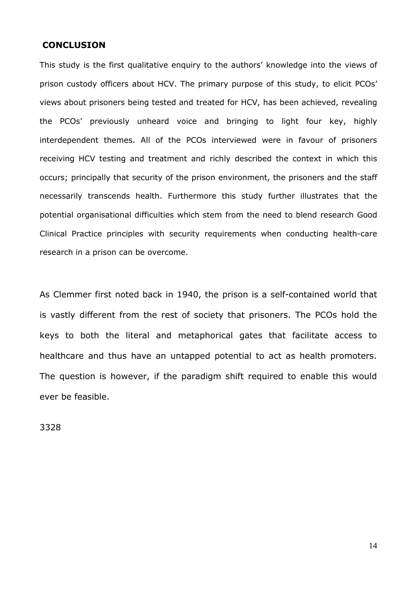## **CONCLUSION**

This study is the first qualitative enquiry to the authors' knowledge into the views of prison custody officers about HCV. The primary purpose of this study, to elicit PCOs' views about prisoners being tested and treated for HCV, has been achieved, revealing the PCOs' previously unheard voice and bringing to light four key, highly interdependent themes. All of the PCOs interviewed were in favour of prisoners receiving HCV testing and treatment and richly described the context in which this occurs; principally that security of the prison environment, the prisoners and the staff necessarily transcends health. Furthermore this study further illustrates that the potential organisational difficulties which stem from the need to blend research Good Clinical Practice principles with security requirements when conducting health-care research in a prison can be overcome.

As Clemmer first noted back in 1940, the prison is a self-contained world that is vastly different from the rest of society that prisoners. The PCOs hold the keys to both the literal and metaphorical gates that facilitate access to healthcare and thus have an untapped potential to act as health promoters. The question is however, if the paradigm shift required to enable this would ever be feasible.

3328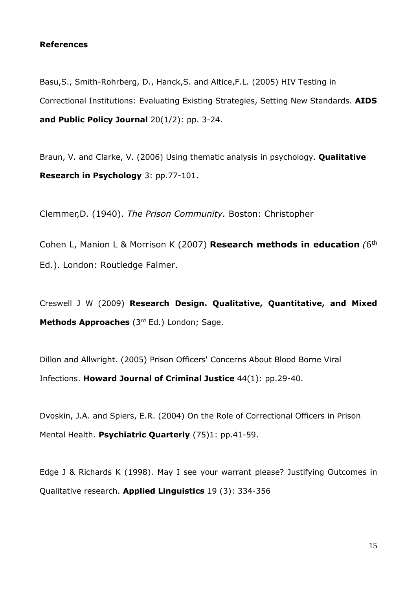## **References**

Basu,S., Smith-Rohrberg, D., Hanck,S. and Altice,F.L. (2005) HIV Testing in Correctional Institutions: Evaluating Existing Strategies, Setting New Standards. **AIDS and Public Policy Journal** 20(1/2): pp. 3-24.

Braun, V. and Clarke, V. (2006) Using thematic analysis in psychology. **Qualitative Research in Psychology** 3: pp.77-101.

Clemmer,D. (1940). *The Prison Community.* Boston: Christopher

Cohen L, Manion L & Morrison K (2007) **Research methods in education** *(*6 th Ed.). London: Routledge Falmer.

Creswell J W (2009) **Research Design. Qualitative, Quantitative, and Mixed Methods Approaches** (3rd Ed.) London; Sage.

Dillon and Allwright. (2005) Prison Officers' Concerns About Blood Borne Viral Infections. **Howard Journal of Criminal Justice** 44(1): pp.29-40.

Dvoskin, J.A. and Spiers, E.R. (2004) On the Role of Correctional Officers in Prison Mental Health. **Psychiatric Quarterly** (75)1: pp.41-59.

Edge J & Richards K (1998). May I see your warrant please? Justifying Outcomes in Qualitative research. **Applied Linguistics** 19 (3): 334-356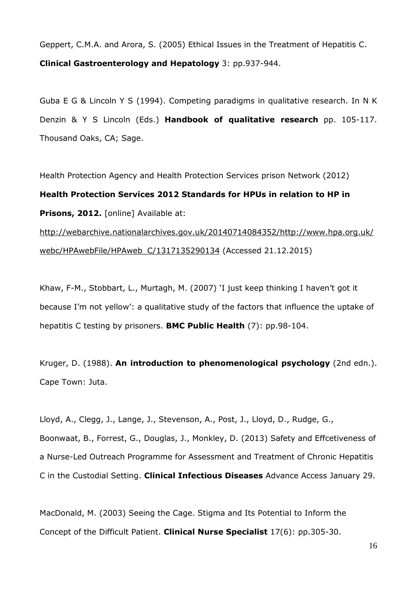Geppert, C.M.A. and Arora, S. (2005) Ethical Issues in the Treatment of Hepatitis C. **Clinical Gastroenterology and Hepatology** 3: pp.937-944.

Guba E G & Lincoln Y S (1994). Competing paradigms in qualitative research. In N K Denzin & Y S Lincoln (Eds.) **Handbook of qualitative research** pp. 105-117. Thousand Oaks, CA; Sage.

Health Protection Agency and Health Protection Services prison Network (2012) **Health Protection Services 2012 Standards for HPUs in relation to HP in Prisons, 2012.** [online] Available at: [http://webarchive.nationalarchives.gov.uk/20140714084352/http://www.hpa.org.uk/](http://webarchive.nationalarchives.gov.uk/20140714084352/http:/www.hpa.org.uk/webc/HPAwebFile/HPAweb_C/1317135290134) [webc/HPAwebFile/HPAweb\\_C/1317135290134](http://webarchive.nationalarchives.gov.uk/20140714084352/http:/www.hpa.org.uk/webc/HPAwebFile/HPAweb_C/1317135290134) (Accessed 21.12.2015)

Khaw, F-M., Stobbart, L., Murtagh, M. (2007) 'I just keep thinking I haven't got it because I'm not yellow': a qualitative study of the factors that influence the uptake of hepatitis C testing by prisoners. **BMC Public Health** (7): pp.98-104.

Kruger, D. (1988). **An introduction to phenomenological psychology** (2nd edn.). Cape Town: Juta.

Lloyd, A., Clegg, J., Lange, J., Stevenson, A., Post, J., Lloyd, D., Rudge, G., Boonwaat, B., Forrest, G., Douglas, J., Monkley, D. (2013) Safety and Effcetiveness of a Nurse-Led Outreach Programme for Assessment and Treatment of Chronic Hepatitis C in the Custodial Setting. **Clinical Infectious Diseases** Advance Access January 29.

MacDonald, M. (2003) Seeing the Cage. Stigma and Its Potential to Inform the Concept of the Difficult Patient. **Clinical Nurse Specialist** 17(6): pp.305-30.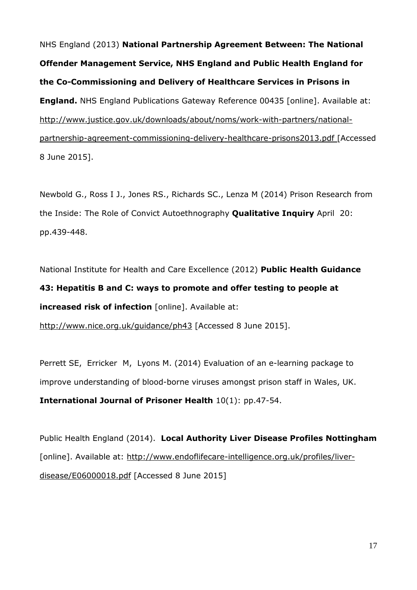NHS England (2013) **National Partnership Agreement Between: The National Offender Management Service, NHS England and Public Health England for the Co-Commissioning and Delivery of Healthcare Services in Prisons in England.** NHS England Publications Gateway Reference 00435 [online]. Available at: [http://www.justice.gov.uk/downloads/about/noms/work-with-partners/national](http://www.justice.gov.uk/downloads/about/noms/work-with-partners/national-partnership-agreement-commissioning-delivery-healthcare-prisons2013.pdf)[partnership-agreement-commissioning-delivery-healthcare-prisons2013.pdf](http://www.justice.gov.uk/downloads/about/noms/work-with-partners/national-partnership-agreement-commissioning-delivery-healthcare-prisons2013.pdf) [Accessed 8 June 2015].

Newbold G., Ross I J., Jones RS., Richards SC., Lenza M (2014) Prison Research from the Inside: The Role of Convict Autoethnography **Qualitative Inquiry** April 20: pp.439-448.

National Institute for Health and Care Excellence (2012) **Public Health Guidance**

**43: Hepatitis B and C: ways to promote and offer testing to people at increased risk of infection** [online]. Available at:

<http://www.nice.org.uk/guidance/ph43> [Accessed 8 June 2015].

[Perrett](http://www.emeraldinsight.com/action/doSearch?ContribStored=Ellen+Perrett%2C+S) SE, [Erricker](http://www.emeraldinsight.com/action/doSearch?ContribStored=Erricker%2C+M) M, [Lyons](http://www.emeraldinsight.com/action/doSearch?ContribStored=Lyons%2C+M) M. (2014) Evaluation of an e-learning package to improve understanding of blood-borne viruses amongst prison staff in Wales, UK. **International Journal of Prisoner Health** 10(1): pp.47-54.

Public Health England (2014). **Local Authority Liver Disease Profiles Nottingham** [online]. Available at: [http://www.endoflifecare-intelligence.org.uk/profiles/liver](http://www.endoflifecare-intelligence.org.uk/profiles/liver-disease/E06000018.pdf)[disease/E06000018.pdf](http://www.endoflifecare-intelligence.org.uk/profiles/liver-disease/E06000018.pdf) [Accessed 8 June 2015]